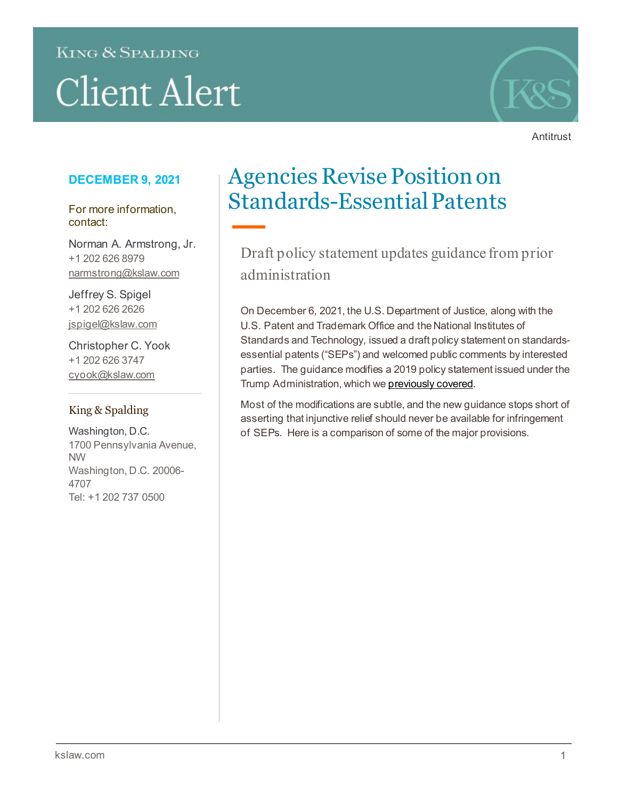## **KING & SPALDING**

# **Client Alert**



**Antitrust** 

### **DECEMBER 9, 2021**

For more information, contact:

Norman A. Armstrong, Jr. +1 202 626 8979 narmstrong@kslaw.com

Jeffrey S. Spigel +1 202 626 2626 jspigel@kslaw.com

Christopher C. Yook +1 202 626 3747 cyook@kslaw.com

#### King & Spalding

Washington, D.C. 1700 Pennsylvania Avenue, NW Washington, D.C. 20006- 4707 Tel: +1 202 737 0500

## Agencies Revise Position on Standards-Essential Patents

Draft policy statement updates guidance from prior administration

On December 6, 2021, the U.S. Department of Justice, along with the U.S. Patent and Trademark Office and the National Institutes of Standards and Technology, issued a draft policy statement on standardsessential patents ("SEPs") and welcomed public comments by interested parties. The guidance modifies a 2019 policy statement issued under the Trump Administration, which w[e previously covered](https://www.kslaw.com/news-and-insights/doj-and-commerce-department-issue-antitrust-guidance-on-seps).

Most of the modifications are subtle, and the new guidance stops short of asserting that injunctive relief should never be available for infringement of SEPs. Here is a comparison of some of the major provisions.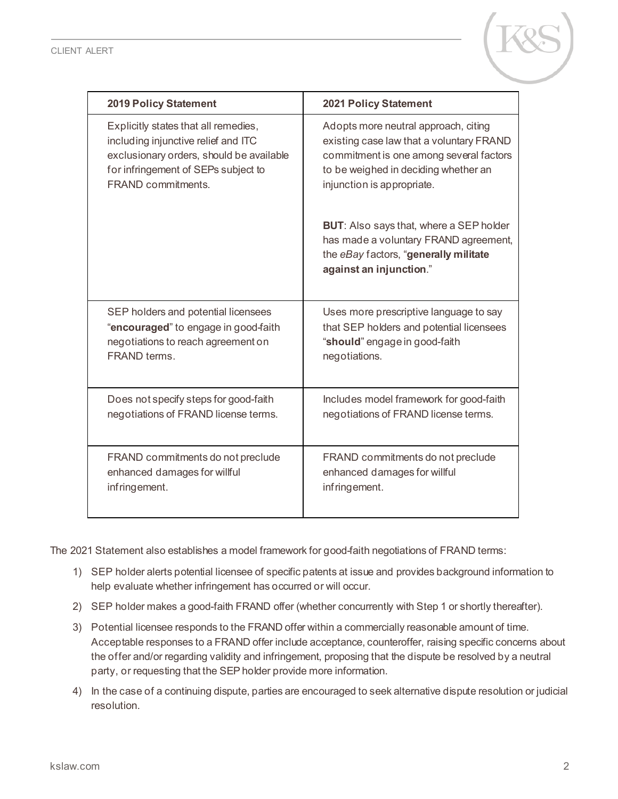

| <b>2019 Policy Statement</b>             | <b>2021 Policy Statement</b>                                                                                                                                |  |  |
|------------------------------------------|-------------------------------------------------------------------------------------------------------------------------------------------------------------|--|--|
| Explicitly states that all remedies,     | Adopts more neutral approach, citing                                                                                                                        |  |  |
| including injunctive relief and ITC      | existing case law that a voluntary FRAND                                                                                                                    |  |  |
| exclusionary orders, should be available | commitment is one among several factors                                                                                                                     |  |  |
| for infringement of SEPs subject to      | to be weighed in deciding whether an                                                                                                                        |  |  |
| <b>FRAND commitments.</b>                | injunction is appropriate.                                                                                                                                  |  |  |
|                                          | <b>BUT:</b> Also says that, where a SEP holder<br>has made a voluntary FRAND agreement,<br>the eBay factors, "generally militate<br>against an injunction." |  |  |
| SEP holders and potential licensees      | Uses more prescriptive language to say                                                                                                                      |  |  |
| "encouraged" to engage in good-faith     | that SEP holders and potential licensees                                                                                                                    |  |  |
| negotiations to reach agreement on       | "should" engage in good-faith                                                                                                                               |  |  |
| FRAND terms.                             | negotiations.                                                                                                                                               |  |  |
| Does not specify steps for good-faith    | Includes model framework for good-faith                                                                                                                     |  |  |
| negotiations of FRAND license terms.     | negotiations of FRAND license terms.                                                                                                                        |  |  |
| FRAND commitments do not preclude        | FRAND commitments do not preclude                                                                                                                           |  |  |
| enhanced damages for willful             | enhanced damages for willful                                                                                                                                |  |  |
| infringement.                            | infringement.                                                                                                                                               |  |  |

The 2021 Statement also establishes a model framework for good-faith negotiations of FRAND terms:

- 1) SEP holder alerts potential licensee of specific patents at issue and provides background information to help evaluate whether infringement has occurred or will occur.
- 2) SEP holder makes a good-faith FRAND offer (whether concurrently with Step 1 or shortly thereafter).
- 3) Potential licensee responds to the FRAND offer within a commercially reasonable amount of time. Acceptable responses to a FRAND offer include acceptance, counteroffer, raising specific concerns about the offer and/or regarding validity and infringement, proposing that the dispute be resolved by a neutral party, or requesting that the SEP holder provide more information.
- 4) In the case of a continuing dispute, parties are encouraged to seek alternative dispute resolution or judicial resolution.